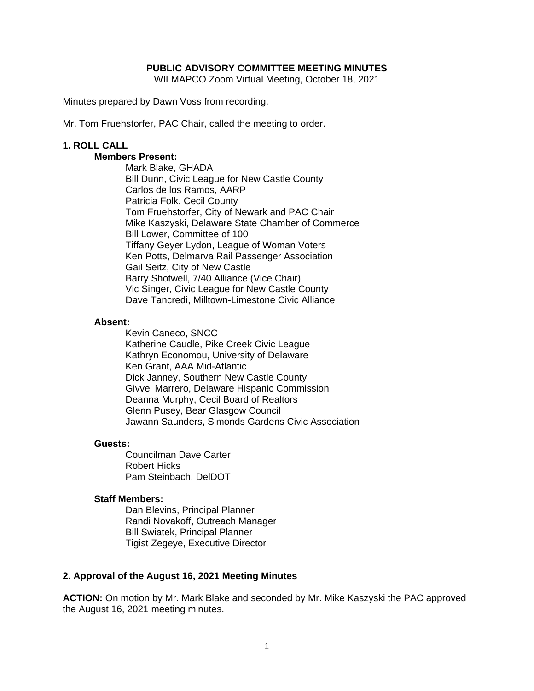### **PUBLIC ADVISORY COMMITTEE MEETING MINUTES**

WILMAPCO Zoom Virtual Meeting, October 18, 2021

Minutes prepared by Dawn Voss from recording.

Mr. Tom Fruehstorfer, PAC Chair, called the meeting to order.

### **1. ROLL CALL**

# **Members Present:**

Mark Blake, GHADA Bill Dunn, Civic League for New Castle County Carlos de los Ramos, AARP Patricia Folk, Cecil County Tom Fruehstorfer, City of Newark and PAC Chair Mike Kaszyski, Delaware State Chamber of Commerce Bill Lower, Committee of 100 Tiffany Geyer Lydon, League of Woman Voters Ken Potts, Delmarva Rail Passenger Association Gail Seitz, City of New Castle Barry Shotwell, 7/40 Alliance (Vice Chair) Vic Singer, Civic League for New Castle County Dave Tancredi, Milltown-Limestone Civic Alliance

#### **Absent:**

Kevin Caneco, SNCC Katherine Caudle, Pike Creek Civic League Kathryn Economou, University of Delaware Ken Grant, AAA Mid-Atlantic Dick Janney, Southern New Castle County Givvel Marrero, Delaware Hispanic Commission Deanna Murphy, Cecil Board of Realtors Glenn Pusey, Bear Glasgow Council Jawann Saunders, Simonds Gardens Civic Association

#### **Guests:**

Councilman Dave Carter Robert Hicks Pam Steinbach, DelDOT

#### **Staff Members:**

Dan Blevins, Principal Planner Randi Novakoff, Outreach Manager Bill Swiatek, Principal Planner Tigist Zegeye, Executive Director

## **2. Approval of the August 16, 2021 Meeting Minutes**

**ACTION:** On motion by Mr. Mark Blake and seconded by Mr. Mike Kaszyski the PAC approved the August 16, 2021 meeting minutes.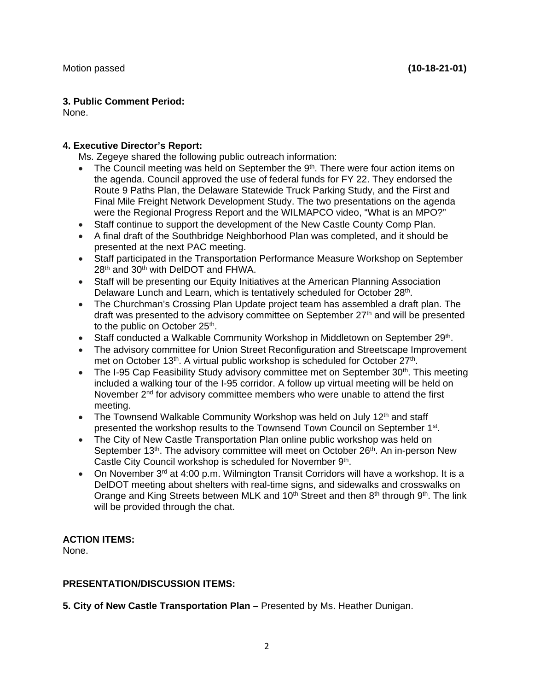## **3. Public Comment Period:**

None.

# **4. Executive Director's Report:**

Ms. Zegeye shared the following public outreach information:

- $\bullet$  The Council meeting was held on September the 9<sup>th</sup>. There were four action items on the agenda. Council approved the use of federal funds for FY 22. They endorsed the Route 9 Paths Plan, the Delaware Statewide Truck Parking Study, and the First and Final Mile Freight Network Development Study. The two presentations on the agenda were the Regional Progress Report and the WILMAPCO video, "What is an MPO?"
- Staff continue to support the development of the New Castle County Comp Plan.
- A final draft of the Southbridge Neighborhood Plan was completed, and it should be presented at the next PAC meeting.
- Staff participated in the Transportation Performance Measure Workshop on September 28<sup>th</sup> and 30<sup>th</sup> with DelDOT and FHWA.
- Staff will be presenting our Equity Initiatives at the American Planning Association Delaware Lunch and Learn, which is tentatively scheduled for October 28th.
- The Churchman's Crossing Plan Update project team has assembled a draft plan. The draft was presented to the advisory committee on September 27<sup>th</sup> and will be presented to the public on October 25<sup>th</sup>.
- Staff conducted a Walkable Community Workshop in Middletown on September 29th.
- The advisory committee for Union Street Reconfiguration and Streetscape Improvement met on October 13<sup>th</sup>. A virtual public workshop is scheduled for October 27<sup>th</sup>.
- The I-95 Cap Feasibility Study advisory committee met on September  $30<sup>th</sup>$ . This meeting included a walking tour of the I-95 corridor. A follow up virtual meeting will be held on November 2<sup>nd</sup> for advisory committee members who were unable to attend the first meeting.
- The Townsend Walkable Community Workshop was held on July 12<sup>th</sup> and staff presented the workshop results to the Townsend Town Council on September 1<sup>st</sup>.
- The City of New Castle Transportation Plan online public workshop was held on September 13<sup>th</sup>. The advisory committee will meet on October 26<sup>th</sup>. An in-person New Castle City Council workshop is scheduled for November 9<sup>th</sup>.
- On November  $3<sup>rd</sup>$  at 4:00 p.m. Wilmington Transit Corridors will have a workshop. It is a DelDOT meeting about shelters with real-time signs, and sidewalks and crosswalks on Orange and King Streets between MLK and 10<sup>th</sup> Street and then 8<sup>th</sup> through 9<sup>th</sup>. The link will be provided through the chat.

# **ACTION ITEMS:**

None.

# **PRESENTATION/DISCUSSION ITEMS:**

**5. City of New Castle Transportation Plan –** Presented by Ms. Heather Dunigan.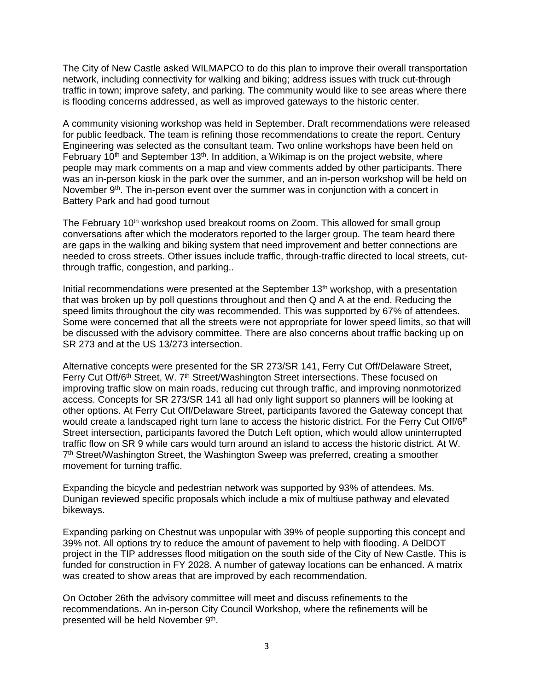The City of New Castle asked WILMAPCO to do this plan to improve their overall transportation network, including connectivity for walking and biking; address issues with truck cut-through traffic in town; improve safety, and parking. The community would like to see areas where there is flooding concerns addressed, as well as improved gateways to the historic center.

A community visioning workshop was held in September. Draft recommendations were released for public feedback. The team is refining those recommendations to create the report. Century Engineering was selected as the consultant team. Two online workshops have been held on February 10<sup>th</sup> and September 13<sup>th</sup>. In addition, a Wikimap is on the project website, where people may mark comments on a map and view comments added by other participants. There was an in-person kiosk in the park over the summer, and an in-person workshop will be held on November 9<sup>th</sup>. The in-person event over the summer was in conjunction with a concert in Battery Park and had good turnout

The February 10<sup>th</sup> workshop used breakout rooms on Zoom. This allowed for small group conversations after which the moderators reported to the larger group. The team heard there are gaps in the walking and biking system that need improvement and better connections are needed to cross streets. Other issues include traffic, through-traffic directed to local streets, cutthrough traffic, congestion, and parking..

Initial recommendations were presented at the September 13<sup>th</sup> workshop, with a presentation that was broken up by poll questions throughout and then Q and A at the end. Reducing the speed limits throughout the city was recommended. This was supported by 67% of attendees. Some were concerned that all the streets were not appropriate for lower speed limits, so that will be discussed with the advisory committee. There are also concerns about traffic backing up on SR 273 and at the US 13/273 intersection.

Alternative concepts were presented for the SR 273/SR 141, Ferry Cut Off/Delaware Street, Ferry Cut Off/6<sup>th</sup> Street, W. 7<sup>th</sup> Street/Washington Street intersections. These focused on improving traffic slow on main roads, reducing cut through traffic, and improving nonmotorized access. Concepts for SR 273/SR 141 all had only light support so planners will be looking at other options. At Ferry Cut Off/Delaware Street, participants favored the Gateway concept that would create a landscaped right turn lane to access the historic district. For the Ferry Cut Off/6<sup>th</sup> Street intersection, participants favored the Dutch Left option, which would allow uninterrupted traffic flow on SR 9 while cars would turn around an island to access the historic district. At W. 7th Street/Washington Street, the Washington Sweep was preferred, creating a smoother movement for turning traffic.

Expanding the bicycle and pedestrian network was supported by 93% of attendees. Ms. Dunigan reviewed specific proposals which include a mix of multiuse pathway and elevated bikeways.

Expanding parking on Chestnut was unpopular with 39% of people supporting this concept and 39% not. All options try to reduce the amount of pavement to help with flooding. A DelDOT project in the TIP addresses flood mitigation on the south side of the City of New Castle. This is funded for construction in FY 2028. A number of gateway locations can be enhanced. A matrix was created to show areas that are improved by each recommendation.

On October 26th the advisory committee will meet and discuss refinements to the recommendations. An in-person City Council Workshop, where the refinements will be presented will be held November 9th.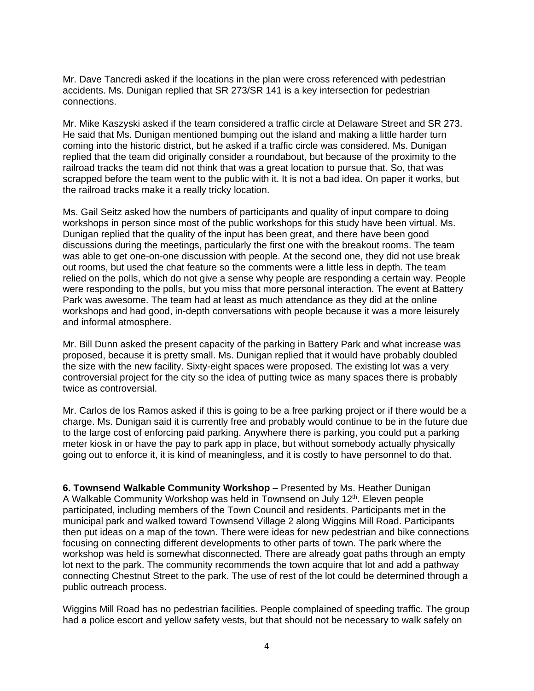Mr. Dave Tancredi asked if the locations in the plan were cross referenced with pedestrian accidents. Ms. Dunigan replied that SR 273/SR 141 is a key intersection for pedestrian connections.

Mr. Mike Kaszyski asked if the team considered a traffic circle at Delaware Street and SR 273. He said that Ms. Dunigan mentioned bumping out the island and making a little harder turn coming into the historic district, but he asked if a traffic circle was considered. Ms. Dunigan replied that the team did originally consider a roundabout, but because of the proximity to the railroad tracks the team did not think that was a great location to pursue that. So, that was scrapped before the team went to the public with it. It is not a bad idea. On paper it works, but the railroad tracks make it a really tricky location.

Ms. Gail Seitz asked how the numbers of participants and quality of input compare to doing workshops in person since most of the public workshops for this study have been virtual. Ms. Dunigan replied that the quality of the input has been great, and there have been good discussions during the meetings, particularly the first one with the breakout rooms. The team was able to get one-on-one discussion with people. At the second one, they did not use break out rooms, but used the chat feature so the comments were a little less in depth. The team relied on the polls, which do not give a sense why people are responding a certain way. People were responding to the polls, but you miss that more personal interaction. The event at Battery Park was awesome. The team had at least as much attendance as they did at the online workshops and had good, in-depth conversations with people because it was a more leisurely and informal atmosphere.

Mr. Bill Dunn asked the present capacity of the parking in Battery Park and what increase was proposed, because it is pretty small. Ms. Dunigan replied that it would have probably doubled the size with the new facility. Sixty-eight spaces were proposed. The existing lot was a very controversial project for the city so the idea of putting twice as many spaces there is probably twice as controversial.

Mr. Carlos de los Ramos asked if this is going to be a free parking project or if there would be a charge. Ms. Dunigan said it is currently free and probably would continue to be in the future due to the large cost of enforcing paid parking. Anywhere there is parking, you could put a parking meter kiosk in or have the pay to park app in place, but without somebody actually physically going out to enforce it, it is kind of meaningless, and it is costly to have personnel to do that.

**6. Townsend Walkable Community Workshop** – Presented by Ms. Heather Dunigan A Walkable Community Workshop was held in Townsend on July 12<sup>th</sup>. Eleven people participated, including members of the Town Council and residents. Participants met in the municipal park and walked toward Townsend Village 2 along Wiggins Mill Road. Participants then put ideas on a map of the town. There were ideas for new pedestrian and bike connections focusing on connecting different developments to other parts of town. The park where the workshop was held is somewhat disconnected. There are already goat paths through an empty lot next to the park. The community recommends the town acquire that lot and add a pathway connecting Chestnut Street to the park. The use of rest of the lot could be determined through a public outreach process.

Wiggins Mill Road has no pedestrian facilities. People complained of speeding traffic. The group had a police escort and yellow safety vests, but that should not be necessary to walk safely on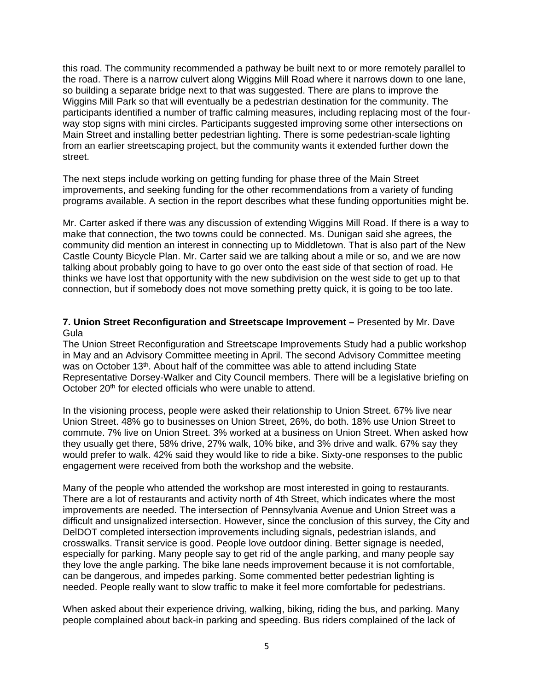this road. The community recommended a pathway be built next to or more remotely parallel to the road. There is a narrow culvert along Wiggins Mill Road where it narrows down to one lane, so building a separate bridge next to that was suggested. There are plans to improve the Wiggins Mill Park so that will eventually be a pedestrian destination for the community. The participants identified a number of traffic calming measures, including replacing most of the fourway stop signs with mini circles. Participants suggested improving some other intersections on Main Street and installing better pedestrian lighting. There is some pedestrian-scale lighting from an earlier streetscaping project, but the community wants it extended further down the street.

The next steps include working on getting funding for phase three of the Main Street improvements, and seeking funding for the other recommendations from a variety of funding programs available. A section in the report describes what these funding opportunities might be.

Mr. Carter asked if there was any discussion of extending Wiggins Mill Road. If there is a way to make that connection, the two towns could be connected. Ms. Dunigan said she agrees, the community did mention an interest in connecting up to Middletown. That is also part of the New Castle County Bicycle Plan. Mr. Carter said we are talking about a mile or so, and we are now talking about probably going to have to go over onto the east side of that section of road. He thinks we have lost that opportunity with the new subdivision on the west side to get up to that connection, but if somebody does not move something pretty quick, it is going to be too late.

### **7. Union Street Reconfiguration and Streetscape Improvement –** Presented by Mr. Dave Gula

The Union Street Reconfiguration and Streetscape Improvements Study had a public workshop in May and an Advisory Committee meeting in April. The second Advisory Committee meeting was on October 13th. About half of the committee was able to attend including State Representative Dorsey-Walker and City Council members. There will be a legislative briefing on October 20<sup>th</sup> for elected officials who were unable to attend.

In the visioning process, people were asked their relationship to Union Street. 67% live near Union Street. 48% go to businesses on Union Street, 26%, do both. 18% use Union Street to commute. 7% live on Union Street. 3% worked at a business on Union Street. When asked how they usually get there, 58% drive, 27% walk, 10% bike, and 3% drive and walk. 67% say they would prefer to walk. 42% said they would like to ride a bike. Sixty-one responses to the public engagement were received from both the workshop and the website.

Many of the people who attended the workshop are most interested in going to restaurants. There are a lot of restaurants and activity north of 4th Street, which indicates where the most improvements are needed. The intersection of Pennsylvania Avenue and Union Street was a difficult and unsignalized intersection. However, since the conclusion of this survey, the City and DelDOT completed intersection improvements including signals, pedestrian islands, and crosswalks. Transit service is good. People love outdoor dining. Better signage is needed, especially for parking. Many people say to get rid of the angle parking, and many people say they love the angle parking. The bike lane needs improvement because it is not comfortable, can be dangerous, and impedes parking. Some commented better pedestrian lighting is needed. People really want to slow traffic to make it feel more comfortable for pedestrians.

When asked about their experience driving, walking, biking, riding the bus, and parking. Many people complained about back-in parking and speeding. Bus riders complained of the lack of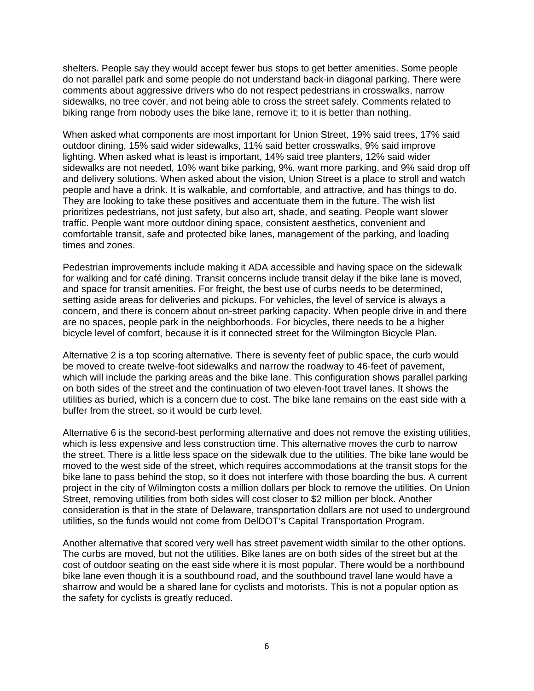shelters. People say they would accept fewer bus stops to get better amenities. Some people do not parallel park and some people do not understand back-in diagonal parking. There were comments about aggressive drivers who do not respect pedestrians in crosswalks, narrow sidewalks, no tree cover, and not being able to cross the street safely. Comments related to biking range from nobody uses the bike lane, remove it; to it is better than nothing.

When asked what components are most important for Union Street, 19% said trees, 17% said outdoor dining, 15% said wider sidewalks, 11% said better crosswalks, 9% said improve lighting. When asked what is least is important, 14% said tree planters, 12% said wider sidewalks are not needed, 10% want bike parking, 9%, want more parking, and 9% said drop off and delivery solutions. When asked about the vision, Union Street is a place to stroll and watch people and have a drink. It is walkable, and comfortable, and attractive, and has things to do. They are looking to take these positives and accentuate them in the future. The wish list prioritizes pedestrians, not just safety, but also art, shade, and seating. People want slower traffic. People want more outdoor dining space, consistent aesthetics, convenient and comfortable transit, safe and protected bike lanes, management of the parking, and loading times and zones.

Pedestrian improvements include making it ADA accessible and having space on the sidewalk for walking and for café dining. Transit concerns include transit delay if the bike lane is moved, and space for transit amenities. For freight, the best use of curbs needs to be determined, setting aside areas for deliveries and pickups. For vehicles, the level of service is always a concern, and there is concern about on-street parking capacity. When people drive in and there are no spaces, people park in the neighborhoods. For bicycles, there needs to be a higher bicycle level of comfort, because it is it connected street for the Wilmington Bicycle Plan.

Alternative 2 is a top scoring alternative. There is seventy feet of public space, the curb would be moved to create twelve-foot sidewalks and narrow the roadway to 46-feet of pavement, which will include the parking areas and the bike lane. This configuration shows parallel parking on both sides of the street and the continuation of two eleven-foot travel lanes. It shows the utilities as buried, which is a concern due to cost. The bike lane remains on the east side with a buffer from the street, so it would be curb level.

Alternative 6 is the second-best performing alternative and does not remove the existing utilities, which is less expensive and less construction time. This alternative moves the curb to narrow the street. There is a little less space on the sidewalk due to the utilities. The bike lane would be moved to the west side of the street, which requires accommodations at the transit stops for the bike lane to pass behind the stop, so it does not interfere with those boarding the bus. A current project in the city of Wilmington costs a million dollars per block to remove the utilities. On Union Street, removing utilities from both sides will cost closer to \$2 million per block. Another consideration is that in the state of Delaware, transportation dollars are not used to underground utilities, so the funds would not come from DelDOT's Capital Transportation Program.

Another alternative that scored very well has street pavement width similar to the other options. The curbs are moved, but not the utilities. Bike lanes are on both sides of the street but at the cost of outdoor seating on the east side where it is most popular. There would be a northbound bike lane even though it is a southbound road, and the southbound travel lane would have a sharrow and would be a shared lane for cyclists and motorists. This is not a popular option as the safety for cyclists is greatly reduced.